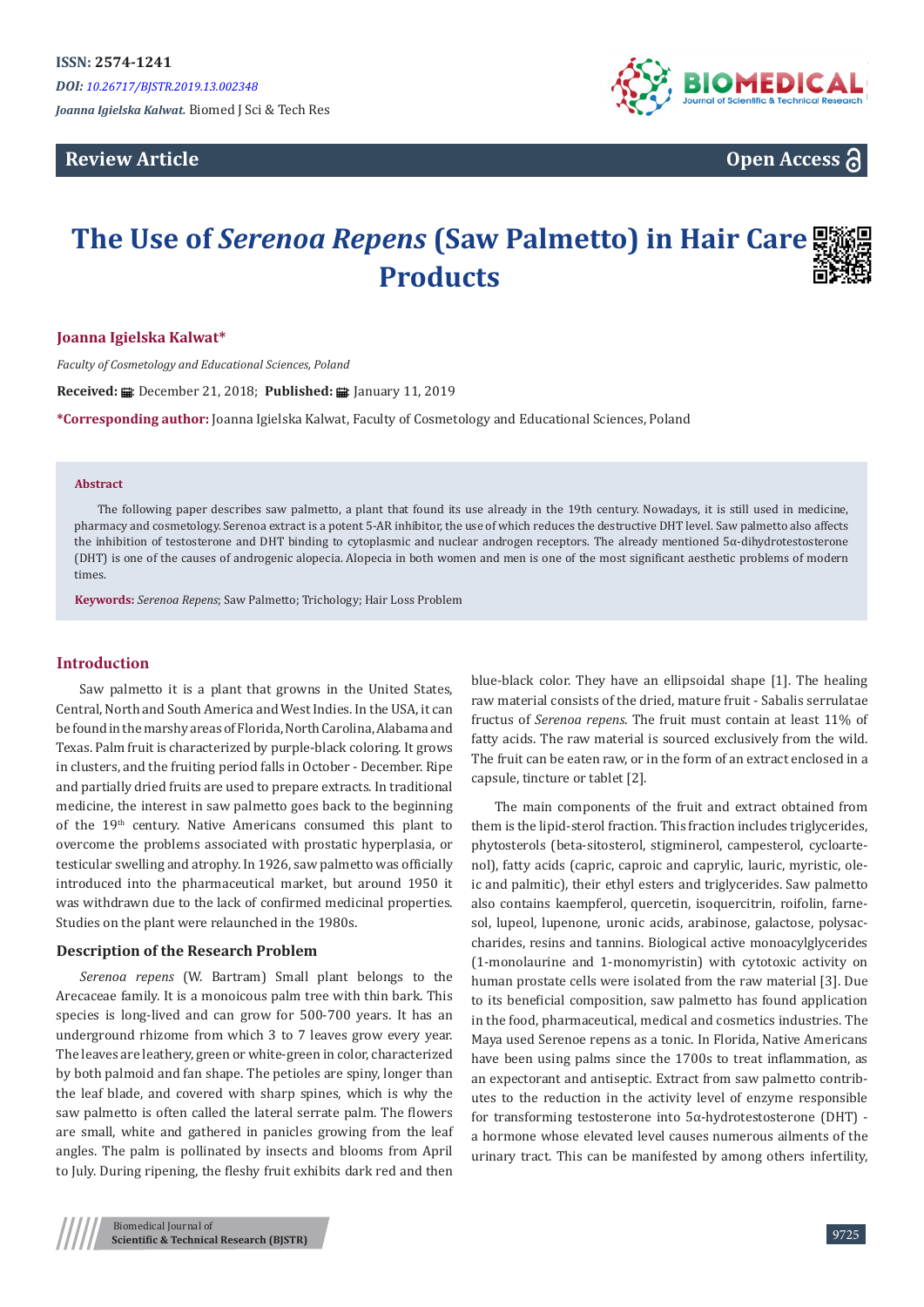*DOI: [10.26717/BJSTR.2019.13.00234](http://dx.doi.org/10.26717/BJSTR.2019.13.002348)8*

*Joanna Igielska Kalwat.* Biomed J Sci & Tech Res

# **Review Article**



**Open Access**

# **The Use of** *Serenoa Repens* **(Saw Palmetto) in Hair Care Products**

# **Joanna Igielska Kalwat\***

*Faculty of Cosmetology and Educational Sciences, Poland*

Received: *:* : December 21, 2018; Published: : : January 11, 2019

**\*Corresponding author:** Joanna Igielska Kalwat, Faculty of Cosmetology and Educational Sciences, Poland

### **Abstract**

The following paper describes saw palmetto, a plant that found its use already in the 19th century. Nowadays, it is still used in medicine, pharmacy and cosmetology. Serenoa extract is a potent 5-AR inhibitor, the use of which reduces the destructive DHT level. Saw palmetto also affects the inhibition of testosterone and DHT binding to cytoplasmic and nuclear androgen receptors. The already mentioned 5α-dihydrotestosterone (DHT) is one of the causes of androgenic alopecia. Alopecia in both women and men is one of the most significant aesthetic problems of modern times.

**Keywords:** *Serenoa Repens*; Saw Palmetto; Trichology; Hair Loss Problem

# **Introduction**

Saw palmetto it is a plant that growns in the United States, Central, North and South America and West Indies. In the USA, it can be found in the marshy areas of Florida, North Carolina, Alabama and Texas. Palm fruit is characterized by purple-black coloring. It grows in clusters, and the fruiting period falls in October - December. Ripe and partially dried fruits are used to prepare extracts. In traditional medicine, the interest in saw palmetto goes back to the beginning of the 19th century. Native Americans consumed this plant to overcome the problems associated with prostatic hyperplasia, or testicular swelling and atrophy. In 1926, saw palmetto was officially introduced into the pharmaceutical market, but around 1950 it was withdrawn due to the lack of confirmed medicinal properties. Studies on the plant were relaunched in the 1980s.

#### **Description of the Research Problem**

*Serenoa repens* (W. Bartram) Small plant belongs to the Arecaceae family. It is a monoicous palm tree with thin bark. This species is long-lived and can grow for 500-700 years. It has an underground rhizome from which 3 to 7 leaves grow every year. The leaves are leathery, green or white-green in color, characterized by both palmoid and fan shape. The petioles are spiny, longer than the leaf blade, and covered with sharp spines, which is why the saw palmetto is often called the lateral serrate palm. The flowers are small, white and gathered in panicles growing from the leaf angles. The palm is pollinated by insects and blooms from April to July. During ripening, the fleshy fruit exhibits dark red and then blue-black color. They have an ellipsoidal shape [1]. The healing raw material consists of the dried, mature fruit - Sabalis serrulatae fructus of *Serenoa repens*. The fruit must contain at least 11% of fatty acids. The raw material is sourced exclusively from the wild. The fruit can be eaten raw, or in the form of an extract enclosed in a capsule, tincture or tablet [2].

The main components of the fruit and extract obtained from them is the lipid-sterol fraction. This fraction includes triglycerides, phytosterols (beta-sitosterol, stigminerol, campesterol, cycloartenol), fatty acids (capric, caproic and caprylic, lauric, myristic, oleic and palmitic), their ethyl esters and triglycerides. Saw palmetto also contains kaempferol, quercetin, isoquercitrin, roifolin, farnesol, lupeol, lupenone, uronic acids, arabinose, galactose, polysaccharides, resins and tannins. Biological active monoacylglycerides (1-monolaurine and 1-monomyristin) with cytotoxic activity on human prostate cells were isolated from the raw material [3]. Due to its beneficial composition, saw palmetto has found application in the food, pharmaceutical, medical and cosmetics industries. The Maya used Serenoe repens as a tonic. In Florida, Native Americans have been using palms since the 1700s to treat inflammation, as an expectorant and antiseptic. Extract from saw palmetto contributes to the reduction in the activity level of enzyme responsible for transforming testosterone into 5α-hydrotestosterone (DHT) a hormone whose elevated level causes numerous ailments of the urinary tract. This can be manifested by among others infertility,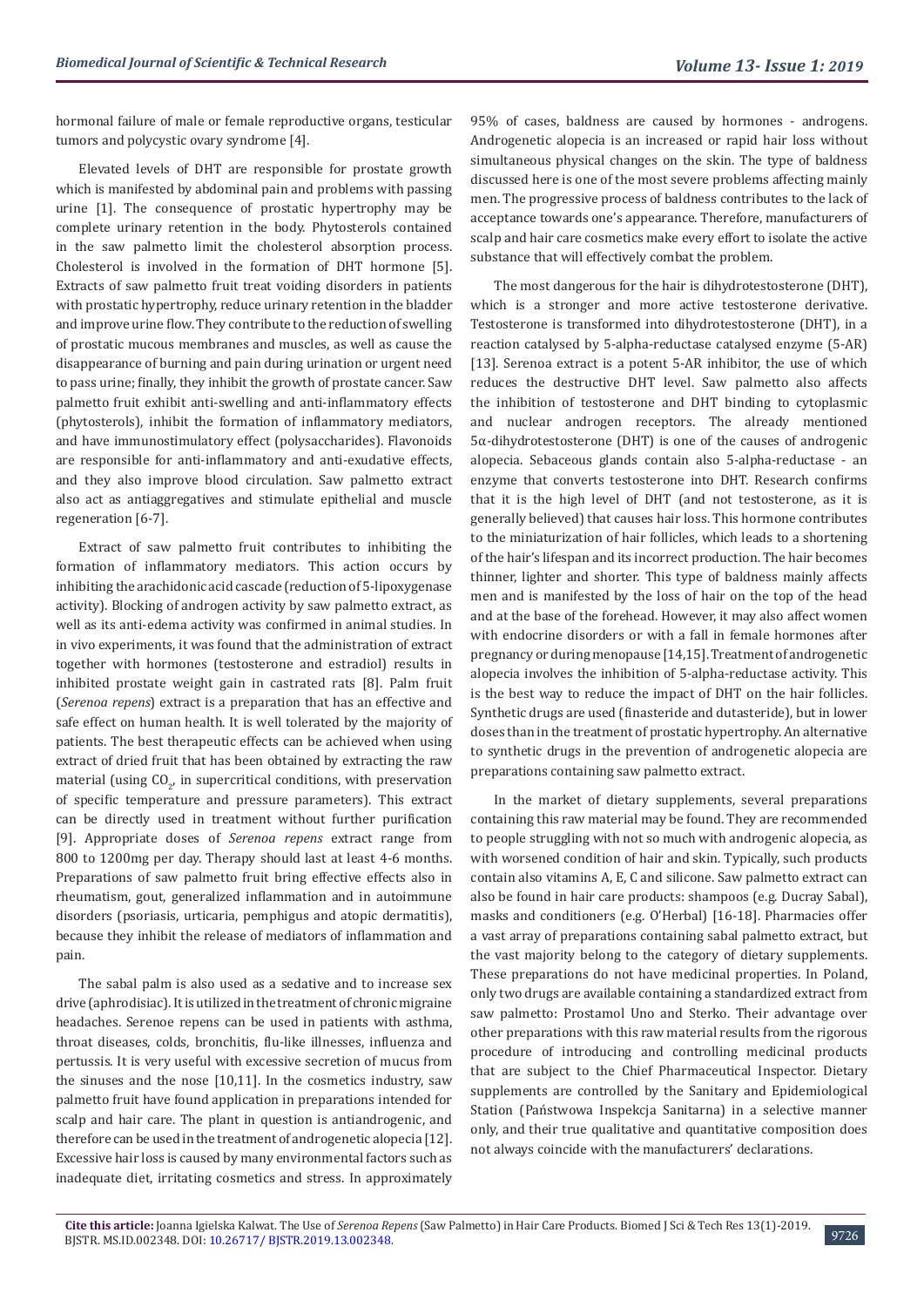hormonal failure of male or female reproductive organs, testicular tumors and polycystic ovary syndrome [4].

Elevated levels of DHT are responsible for prostate growth which is manifested by abdominal pain and problems with passing urine [1]. The consequence of prostatic hypertrophy may be complete urinary retention in the body. Phytosterols contained in the saw palmetto limit the cholesterol absorption process. Cholesterol is involved in the formation of DHT hormone [5]. Extracts of saw palmetto fruit treat voiding disorders in patients with prostatic hypertrophy, reduce urinary retention in the bladder and improve urine flow. They contribute to the reduction of swelling of prostatic mucous membranes and muscles, as well as cause the disappearance of burning and pain during urination or urgent need to pass urine; finally, they inhibit the growth of prostate cancer. Saw palmetto fruit exhibit anti-swelling and anti-inflammatory effects (phytosterols), inhibit the formation of inflammatory mediators, and have immunostimulatory effect (polysaccharides). Flavonoids are responsible for anti-inflammatory and anti-exudative effects, and they also improve blood circulation. Saw palmetto extract also act as antiaggregatives and stimulate epithelial and muscle regeneration [6-7].

Extract of saw palmetto fruit contributes to inhibiting the formation of inflammatory mediators. This action occurs by inhibiting the arachidonic acid cascade (reduction of 5-lipoxygenase activity). Blocking of androgen activity by saw palmetto extract, as well as its anti-edema activity was confirmed in animal studies. In in vivo experiments, it was found that the administration of extract together with hormones (testosterone and estradiol) results in inhibited prostate weight gain in castrated rats [8]. Palm fruit (*Serenoa repens*) extract is a preparation that has an effective and safe effect on human health. It is well tolerated by the majority of patients. The best therapeutic effects can be achieved when using extract of dried fruit that has been obtained by extracting the raw material (using  $CO_{2'}$  in supercritical conditions, with preservation of specific temperature and pressure parameters). This extract can be directly used in treatment without further purification [9]. Appropriate doses of *Serenoa repens* extract range from 800 to 1200mg per day. Therapy should last at least 4-6 months. Preparations of saw palmetto fruit bring effective effects also in rheumatism, gout, generalized inflammation and in autoimmune disorders (psoriasis, urticaria, pemphigus and atopic dermatitis), because they inhibit the release of mediators of inflammation and pain.

The sabal palm is also used as a sedative and to increase sex drive (aphrodisiac). It is utilized in the treatment of chronic migraine headaches. Serenoe repens can be used in patients with asthma, throat diseases, colds, bronchitis, flu-like illnesses, influenza and pertussis. It is very useful with excessive secretion of mucus from the sinuses and the nose [10,11]. In the cosmetics industry, saw palmetto fruit have found application in preparations intended for scalp and hair care. The plant in question is antiandrogenic, and therefore can be used in the treatment of androgenetic alopecia [12]. Excessive hair loss is caused by many environmental factors such as inadequate diet, irritating cosmetics and stress. In approximately

95% of cases, baldness are caused by hormones - androgens. Androgenetic alopecia is an increased or rapid hair loss without simultaneous physical changes on the skin. The type of baldness discussed here is one of the most severe problems affecting mainly men. The progressive process of baldness contributes to the lack of acceptance towards one's appearance. Therefore, manufacturers of scalp and hair care cosmetics make every effort to isolate the active substance that will effectively combat the problem.

The most dangerous for the hair is dihydrotestosterone (DHT), which is a stronger and more active testosterone derivative. Testosterone is transformed into dihydrotestosterone (DHT), in a reaction catalysed by 5-alpha-reductase catalysed enzyme (5-AR) [13]. Serenoa extract is a potent 5-AR inhibitor, the use of which reduces the destructive DHT level. Saw palmetto also affects the inhibition of testosterone and DHT binding to cytoplasmic and nuclear androgen receptors. The already mentioned 5α-dihydrotestosterone (DHT) is one of the causes of androgenic alopecia. Sebaceous glands contain also 5-alpha-reductase - an enzyme that converts testosterone into DHT. Research confirms that it is the high level of DHT (and not testosterone, as it is generally believed) that causes hair loss. This hormone contributes to the miniaturization of hair follicles, which leads to a shortening of the hair's lifespan and its incorrect production. The hair becomes thinner, lighter and shorter. This type of baldness mainly affects men and is manifested by the loss of hair on the top of the head and at the base of the forehead. However, it may also affect women with endocrine disorders or with a fall in female hormones after pregnancy or during menopause [14,15]. Treatment of androgenetic alopecia involves the inhibition of 5-alpha-reductase activity. This is the best way to reduce the impact of DHT on the hair follicles. Synthetic drugs are used (finasteride and dutasteride), but in lower doses than in the treatment of prostatic hypertrophy. An alternative to synthetic drugs in the prevention of androgenetic alopecia are preparations containing saw palmetto extract.

In the market of dietary supplements, several preparations containing this raw material may be found. They are recommended to people struggling with not so much with androgenic alopecia, as with worsened condition of hair and skin. Typically, such products contain also vitamins A, E, C and silicone. Saw palmetto extract can also be found in hair care products: shampoos (e.g. Ducray Sabal), masks and conditioners (e.g. O'Herbal) [16-18]. Pharmacies offer a vast array of preparations containing sabal palmetto extract, but the vast majority belong to the category of dietary supplements. These preparations do not have medicinal properties. In Poland, only two drugs are available containing a standardized extract from saw palmetto: Prostamol Uno and Sterko. Their advantage over other preparations with this raw material results from the rigorous procedure of introducing and controlling medicinal products that are subject to the Chief Pharmaceutical Inspector. Dietary supplements are controlled by the Sanitary and Epidemiological Station (Państwowa Inspekcja Sanitarna) in a selective manner only, and their true qualitative and quantitative composition does not always coincide with the manufacturers' declarations.

9726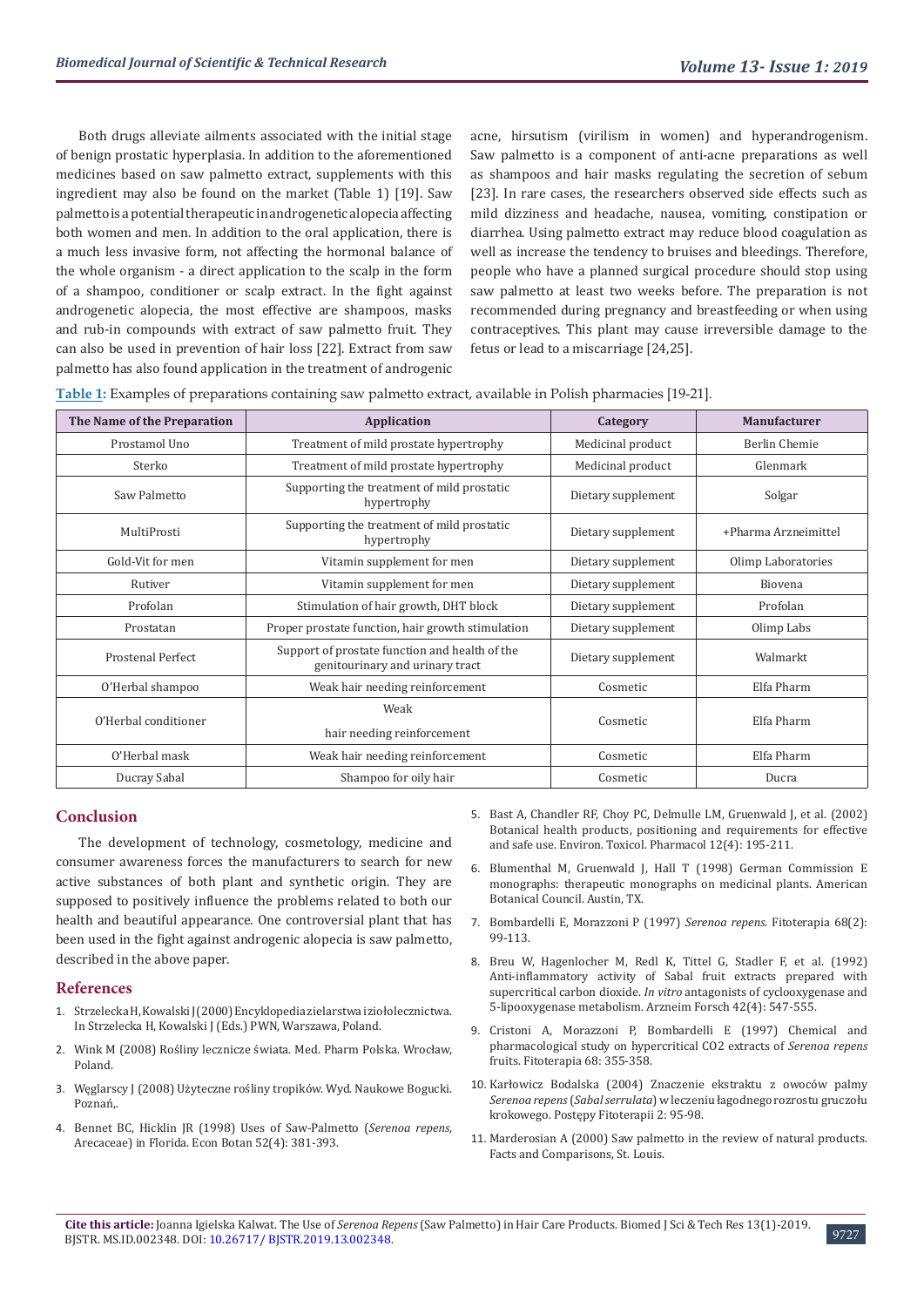Both drugs alleviate ailments associated with the initial stage of benign prostatic hyperplasia. In addition to the aforementioned medicines based on saw palmetto extract, supplements with this ingredient may also be found on the market (Table 1) [19]. Saw palmetto is a potential therapeutic in androgenetic alopecia affecting both women and men. In addition to the oral application, there is a much less invasive form, not affecting the hormonal balance of the whole organism - a direct application to the scalp in the form of a shampoo, conditioner or scalp extract. In the fight against androgenetic alopecia, the most effective are shampoos, masks and rub-in compounds with extract of saw palmetto fruit. They can also be used in prevention of hair loss [22]. Extract from saw palmetto has also found application in the treatment of androgenic

acne, hirsutism (virilism in women) and hyperandrogenism. Saw palmetto is a component of anti-acne preparations as well as shampoos and hair masks regulating the secretion of sebum [23]. In rare cases, the researchers observed side effects such as mild dizziness and headache, nausea, vomiting, constipation or diarrhea. Using palmetto extract may reduce blood coagulation as well as increase the tendency to bruises and bleedings. Therefore, people who have a planned surgical procedure should stop using saw palmetto at least two weeks before. The preparation is not recommended during pregnancy and breastfeeding or when using contraceptives. This plant may cause irreversible damage to the fetus or lead to a miscarriage [24,25].

| Table 1: Examples of preparations containing saw palmetto extract, available in Polish pharmacies [19-21]. |
|------------------------------------------------------------------------------------------------------------|
|------------------------------------------------------------------------------------------------------------|

| The Name of the Preparation | <b>Application</b>                                                                | Category           | <b>Manufacturer</b>  |
|-----------------------------|-----------------------------------------------------------------------------------|--------------------|----------------------|
| Prostamol Uno               | Treatment of mild prostate hypertrophy                                            | Medicinal product  | Berlin Chemie        |
| Sterko                      | Treatment of mild prostate hypertrophy                                            | Medicinal product  | Glenmark             |
| Saw Palmetto                | Supporting the treatment of mild prostatic<br>hypertrophy                         | Dietary supplement | Solgar               |
| MultiProsti                 | Supporting the treatment of mild prostatic<br>hypertrophy                         | Dietary supplement | +Pharma Arzneimittel |
| Gold-Vit for men            | Vitamin supplement for men                                                        | Dietary supplement | Olimp Laboratories   |
| Rutiver                     | Vitamin supplement for men                                                        | Dietary supplement | <b>Biovena</b>       |
| Profolan                    | Stimulation of hair growth, DHT block                                             | Dietary supplement | Profolan             |
| Prostatan                   | Proper prostate function, hair growth stimulation                                 | Dietary supplement | Olimp Labs           |
| <b>Prostenal Perfect</b>    | Support of prostate function and health of the<br>genitourinary and urinary tract | Dietary supplement | Walmarkt             |
| O'Herbal shampoo            | Weak hair needing reinforcement                                                   | Cosmetic           | Elfa Pharm           |
| O'Herbal conditioner        | Weak                                                                              | Cosmetic           | Elfa Pharm           |
|                             | hair needing reinforcement                                                        |                    |                      |
| O'Herbal mask               | Weak hair needing reinforcement                                                   | Cosmetic           | Elfa Pharm           |
| Ducray Sabal                | Shampoo for oily hair                                                             | Cosmetic           | Ducra                |

# **Conclusion**

The development of technology, cosmetology, medicine and consumer awareness forces the manufacturers to search for new active substances of both plant and synthetic origin. They are supposed to positively influence the problems related to both our health and beautiful appearance. One controversial plant that has been used in the fight against androgenic alopecia is saw palmetto, described in the above paper.

#### **References**

- 1. [Strzelecka H, Kowalski J \(2000\) Encyklopedia zielarstwa i ziołolecznictwa.](https://www.worldcat.org/title/encyklopedia-zielarstwa-i-zioolecznictwa/oclc/48573215)  [In Strzelecka H, Kowalski J \(Eds.\) PWN, Warszawa, Poland.](https://www.worldcat.org/title/encyklopedia-zielarstwa-i-zioolecznictwa/oclc/48573215)
- 2. Wink M (2008) Rośliny lecznicze świata. Med. Pharm Polska. Wrocław, Poland.
- 3. Węglarscy J (2008) Użyteczne rośliny tropików. Wyd. Naukowe Bogucki. Poznań
- 4. [Bennet BC, Hicklin JR \(1998\) Uses of Saw-Palmetto \(](https://link.springer.com/article/10.1007/BF02862068)*Serenoa repens*, [Arecaceae\) in Florida. Econ Botan 52\(4\): 381-393.](https://link.springer.com/article/10.1007/BF02862068)
- 5. [Bast A, Chandler RF, Choy PC, Delmulle LM, Gruenwald J, et al. \(2002\)](https://www.ncbi.nlm.nih.gov/pubmed/21782639) [Botanical health products, positioning and requirements for effective](https://www.ncbi.nlm.nih.gov/pubmed/21782639) [and safe use. Environ. Toxicol. Pharmacol 12\(4\): 195-211.](https://www.ncbi.nlm.nih.gov/pubmed/21782639)
- 6. Blumenthal M, Gruenwald J, Hall T (1998) German Commission E monographs: therapeutic monographs on medicinal plants. American Botanical Council. Austin, TX.
- 7. [Bombardelli E, Morazzoni P \(1997\)](https://www.researchgate.net/publication/287118525_Serenoa_repens_Bartram_JK_Small) *Serenoa repens*. Fitoterapia 68(2): [99-113.](https://www.researchgate.net/publication/287118525_Serenoa_repens_Bartram_JK_Small)
- 8. [Breu W, Hagenlocher M, Redl K, Tittel G, Stadler F, et al. \(1992\)](https://www.ncbi.nlm.nih.gov/pubmed/1642680) [Anti-inflammatory activity of Sabal fruit extracts prepared with](https://www.ncbi.nlm.nih.gov/pubmed/1642680) supercritical carbon dioxide. *In vitro* [antagonists of cyclooxygenase and](https://www.ncbi.nlm.nih.gov/pubmed/1642680) [5-lipooxygenase metabolism. Arzneim Forsch 42\(4\): 547-555.](https://www.ncbi.nlm.nih.gov/pubmed/1642680)
- 9. [Cristoni A, Morazzoni P, Bombardelli E \(1997\) Chemical and](https://www.researchgate.net/publication/293068818_Chemical_and_pharmacological_study_on_hypercritical_CO2_extracts_of_Serenoa_repens_fruits) [pharmacological study on hypercritical CO2 extracts of](https://www.researchgate.net/publication/293068818_Chemical_and_pharmacological_study_on_hypercritical_CO2_extracts_of_Serenoa_repens_fruits) *Serenoa repens* [fruits. Fitoterapia 68: 355-358.](https://www.researchgate.net/publication/293068818_Chemical_and_pharmacological_study_on_hypercritical_CO2_extracts_of_Serenoa_repens_fruits)
- 10. [Karłowicz Bodalska \(2004\) Znaczenie ekstraktu z owoców palmy](http://www.czytelniamedyczna.pl/2545,znaczenie-ekstraktu-z-owocow-palmy-serenoa-repens-sabal-serrulata-w-leczeniu-lag.html) *Serenoa repens* (*Sabal serrulata*[\) w leczeniu łagodnego rozrostu gruczołu](http://www.czytelniamedyczna.pl/2545,znaczenie-ekstraktu-z-owocow-palmy-serenoa-repens-sabal-serrulata-w-leczeniu-lag.html) [krokowego. Postępy Fitoterapii 2: 95-98.](http://www.czytelniamedyczna.pl/2545,znaczenie-ekstraktu-z-owocow-palmy-serenoa-repens-sabal-serrulata-w-leczeniu-lag.html)
- 11. Marderosian A (2000) Saw palmetto in the review of natural products. Facts and Comparisons, St. Louis.